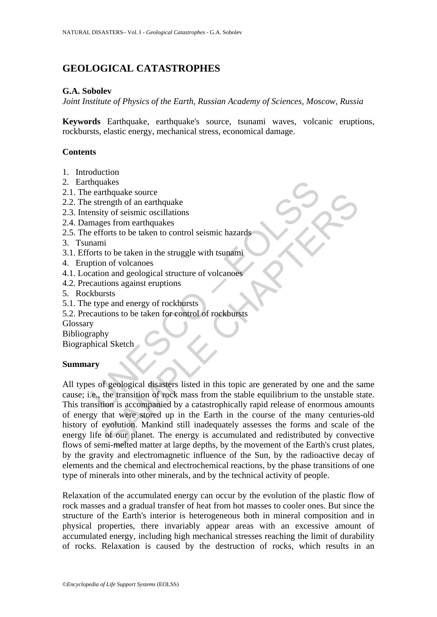# **GEOLOGICAL CATASTROPHES**

# **G.A. Sobolev**

*Joint Institute of Physics of the Earth, Russian Academy of Sciences, Moscow, Russia* 

**Keywords** Earthquake, earthquake's source, tsunami waves, volcanic eruptions, rockbursts, elastic energy, mechanical stress, economical damage.

# **Contents**

- 1. Introduction
- 2. Earthquakes
- 2.1. The earthquake source
- 2.2. The strength of an earthquake
- 2.3. Intensity of seismic oscillations
- 2.4. Damages from earthquakes
- 2.5. The efforts to be taken to control seismic hazards
- 3. Tsunami
- 3.1. Efforts to be taken in the struggle with tsunami
- 4. Eruption of volcanoes
- 4.1. Location and geological structure of volcanoes
- 4.2. Precautions against eruptions
- 5. Rockbursts
- 5.1. The type and energy of rockbursts
- 5.2. Precautions to be taken for control of rockbursts

Glossary

Bibliography

Biographical Sketch

# **Summary**

mandual source<br>
a strength of an earthquake<br>
strength of an earthquake<br>
ensity of seismic oscillations<br>
mages from earthquakes<br>
eefforts to be taken to control seismic hazards<br>
nami<br>
torns to be taken in the struggle with Translate Source<br>
Trength of an earthquake<br>
trength of an earthquake<br>
troy of seismic oscillations<br>
and<br>
in<br>
in of volcanoes<br>
in<br>
in of volcanoes<br>
and agological structure of volcanoes<br>
tions against eruptions<br>
strusts<br>
pe All types of geological disasters listed in this topic are generated by one and the same cause; i.e., the transition of rock mass from the stable equilibrium to the unstable state. This transition is accompanied by a catastrophically rapid release of enormous amounts of energy that were stored up in the Earth in the course of the many centuries-old history of evolution. Mankind still inadequately assesses the forms and scale of the energy life of our planet. The energy is accumulated and redistributed by convective flows of semi-melted matter at large depths, by the movement of the Earth's crust plates, by the gravity and electromagnetic influence of the Sun, by the radioactive decay of elements and the chemical and electrochemical reactions, by the phase transitions of one type of minerals into other minerals, and by the technical activity of people.

Relaxation of the accumulated energy can occur by the evolution of the plastic flow of rock masses and a gradual transfer of heat from hot masses to cooler ones. But since the structure of the Earth's interior is heterogeneous both in mineral composition and in physical properties, there invariably appear areas with an excessive amount of accumulated energy, including high mechanical stresses reaching the limit of durability of rocks. Relaxation is caused by the destruction of rocks, which results in an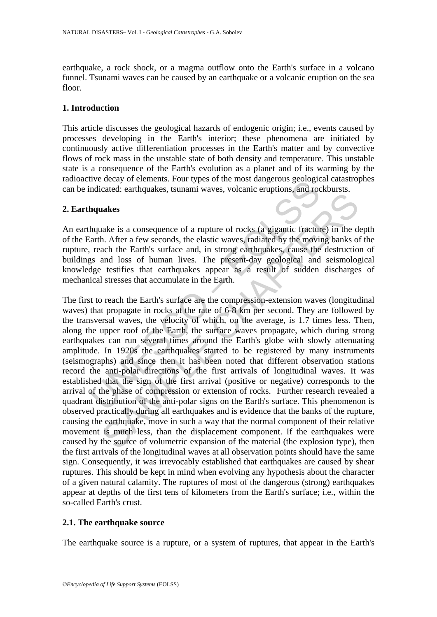earthquake, a rock shock, or a magma outflow onto the Earth's surface in a volcano funnel. Tsunami waves can be caused by an earthquake or a volcanic eruption on the sea floor.

### **1. Introduction**

This article discusses the geological hazards of endogenic origin; i.e., events caused by processes developing in the Earth's interior; these phenomena are initiated by continuously active differentiation processes in the Earth's matter and by convective flows of rock mass in the unstable state of both density and temperature. This unstable state is a consequence of the Earth's evolution as a planet and of its warming by the radioactive decay of elements. Four types of the most dangerous geological catastrophes can be indicated: earthquakes, tsunami waves, volcanic eruptions, and rockbursts.

### **2. Earthquakes**

An earthquake is a consequence of a rupture of rocks (a gigantic fracture) in the depth of the Earth. After a few seconds, the elastic waves, radiated by the moving banks of the rupture, reach the Earth's surface and, in strong earthquakes, cause the destruction of buildings and loss of human lives. The present-day geological and seismological knowledge testifies that earthquakes appear as a result of sudden discharges of mechanical stresses that accumulate in the Earth.

Inverticed carrifiquates, tsunami waves, volcanic eruptions, and root and the measurement. After a few seconds, the elastic waves, volcanic eruptions, and root hap also sequence of a rupture of rocks (a gigantic fracturant The is a consequence of a rupture of rocks (a gigantic fracture) in the data is a consequence of a rupture of rocks (a gigantic fracture) in the dh. After a few seconds, the elastic waves, radiated by the moving banks of t The first to reach the Earth's surface are the compression-extension waves (longitudinal waves) that propagate in rocks at the rate of 6-8 km per second. They are followed by the transversal waves, the velocity of which, on the average, is 1.7 times less. Then, along the upper roof of the Earth, the surface waves propagate, which during strong earthquakes can run several times around the Earth's globe with slowly attenuating amplitude. In 1920s the earthquakes started to be registered by many instruments (seismographs) and since then it has been noted that different observation stations record the anti-polar directions of the first arrivals of longitudinal waves. It was established that the sign of the first arrival (positive or negative) corresponds to the arrival of the phase of compression or extension of rocks. Further research revealed a quadrant distribution of the anti-polar signs on the Earth's surface. This phenomenon is observed practically during all earthquakes and is evidence that the banks of the rupture, causing the earthquake, move in such a way that the normal component of their relative movement is much less, than the displacement component. If the earthquakes were caused by the source of volumetric expansion of the material (the explosion type), then the first arrivals of the longitudinal waves at all observation points should have the same sign. Consequently, it was irrevocably established that earthquakes are caused by shear ruptures. This should be kept in mind when evolving any hypothesis about the character of a given natural calamity. The ruptures of most of the dangerous (strong) earthquakes appear at depths of the first tens of kilometers from the Earth's surface; i.e., within the so-called Earth's crust.

### **2.1. The earthquake source**

The earthquake source is a rupture, or a system of ruptures, that appear in the Earth's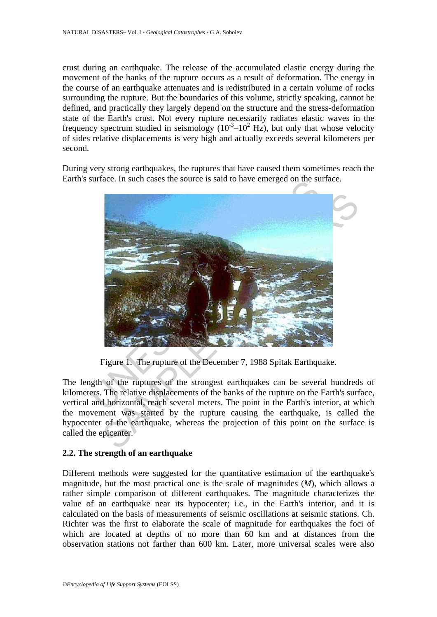crust during an earthquake. The release of the accumulated elastic energy during the movement of the banks of the rupture occurs as a result of deformation. The energy in the course of an earthquake attenuates and is redistributed in a certain volume of rocks surrounding the rupture. But the boundaries of this volume, strictly speaking, cannot be defined, and practically they largely depend on the structure and the stress-deformation state of the Earth's crust. Not every rupture necessarily radiates elastic waves in the frequency spectrum studied in seismology  $(10^{-3}-10^{2} \text{ Hz})$ , but only that whose velocity of sides relative displacements is very high and actually exceeds several kilometers per second.

During very strong earthquakes, the ruptures that have caused them sometimes reach the Earth's surface. In such cases the source is said to have emerged on the surface.



Figure 1. The rupture of the December 7, 1988 Spitak Earthquake.

The length of the ruptures of the strongest earthquakes can be several hundreds of kilometers. The relative displacements of the banks of the rupture on the Earth's surface, vertical and horizontal, reach several meters. The point in the Earth's interior, at which the movement was started by the rupture causing the earthquake, is called the hypocenter of the earthquake, whereas the projection of this point on the surface is called the epicenter.

### **2.2. The strength of an earthquake**

Different methods were suggested for the quantitative estimation of the earthquake's magnitude, but the most practical one is the scale of magnitudes (*M*), which allows a rather simple comparison of different earthquakes. The magnitude characterizes the value of an earthquake near its hypocenter; i.e., in the Earth's interior, and it is calculated on the basis of measurements of seismic oscillations at seismic stations. Ch. Richter was the first to elaborate the scale of magnitude for earthquakes the foci of which are located at depths of no more than 60 km and at distances from the observation stations not farther than 600 km. Later, more universal scales were also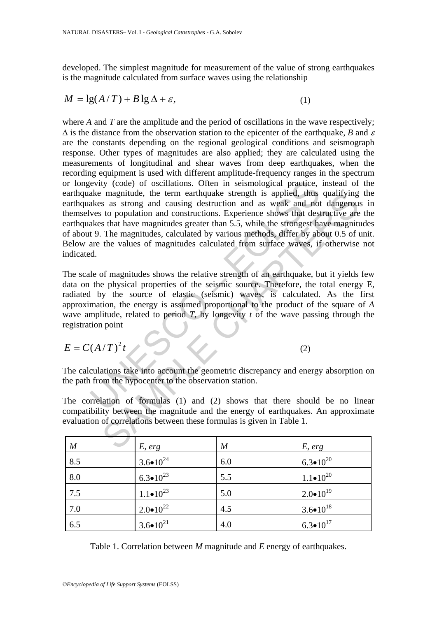developed. The simplest magnitude for measurement of the value of strong earthquakes is the magnitude calculated from surface waves using the relationship

$$
M = \lg(A/T) + B\lg\Delta + \varepsilon,\tag{1}
$$

evity (code) of oscillations. Often in seismological practice,<br>ake magnitude, the term earthquake strength is applied, thus<br>akes as strong and causing destruction and as weak and not<br>we sto population and constructions. E magnitude, the term earthquake strength is applied, thus qualitying<br>s as strong and causing destruction and as weak and not dangerous<br>to population and constructions. Experience shows that destructive are<br>stant have magni where *A* and *T* are the amplitude and the period of oscillations in the wave respectively;  $\Delta$  is the distance from the observation station to the epicenter of the earthquake, *B* and  $\varepsilon$ are the constants depending on the regional geological conditions and seismograph response. Other types of magnitudes are also applied; they are calculated using the measurements of longitudinal and shear waves from deep earthquakes, when the recording equipment is used with different amplitude-frequency ranges in the spectrum or longevity (code) of oscillations. Often in seismological practice, instead of the earthquake magnitude, the term earthquake strength is applied, thus qualifying the earthquakes as strong and causing destruction and as weak and not dangerous in themselves to population and constructions. Experience shows that destructive are the earthquakes that have magnitudes greater than 5.5, while the strongest have magnitudes of about 9. The magnitudes, calculated by various methods, differ by about 0.5 of unit. Below are the values of magnitudes calculated from surface waves, if otherwise not indicated.

The scale of magnitudes shows the relative strength of an earthquake, but it yields few data on the physical properties of the seismic source. Therefore, the total energy E, radiated by the source of elastic (seismic) waves, is calculated. As the first approximation, the energy is assumed proportional to the product of the square of *A* wave amplitude, related to period *T*, by longevity *t* of the wave passing through the registration point

$$
E = C(A/T)^2 t \tag{2}
$$

The calculations take into account the geometric discrepancy and energy absorption on the path from the hypocenter to the observation station.

The correlation of formulas (1) and (2) shows that there should be no linear compatibility between the magnitude and the energy of earthquakes. An approximate evaluation of correlations between these formulas is given in Table 1.

| $\boldsymbol{M}$ | E, erg                | $\overline{M}$ | E, erg                |
|------------------|-----------------------|----------------|-----------------------|
| 8.5              | $3.6 \bullet 10^{24}$ | 6.0            | $6.3 \cdot 10^{20}$   |
| 8.0              | $6.3 \bullet 10^{23}$ | 5.5            | $1.1 \bullet 10^{20}$ |
| 7.5              | $1.1 \cdot 10^{23}$   | 5.0            | $2.0 \bullet 10^{19}$ |
| 7.0              | $2.0 \bullet 10^{22}$ | 4.5            | $3.6 \bullet 10^{18}$ |
| 6.5              | $3.6 \bullet 10^{21}$ | 4.0            | $6.3 \cdot 10^{17}$   |

Table 1. Correlation between *M* magnitude and *E* energy of earthquakes.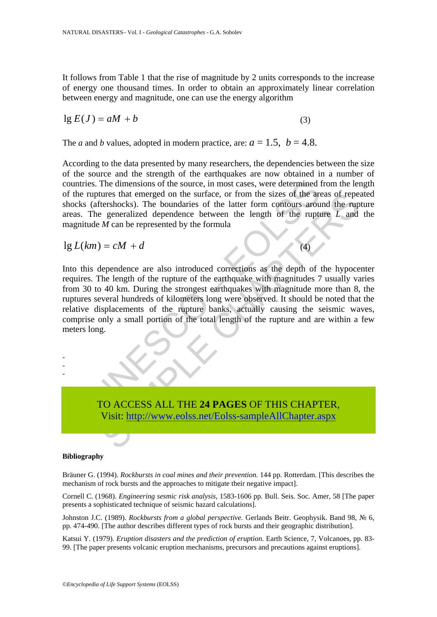It follows from Table 1 that the rise of magnitude by 2 units corresponds to the increase of energy one thousand times. In order to obtain an approximately linear correlation between energy and magnitude, one can use the energy algorithm

$$
\lg E(J) = aM + b \tag{3}
$$

The *a* and *b* values, adopted in modern practice, are:  $a = 1.5$ ,  $b = 4.8$ .

According to the data presented by many researchers, the dependencies between the size of the source and the strength of the earthquakes are now obtained in a number of countries. The dimensions of the source, in most cases, were determined from the length of the ruptures that emerged on the surface, or from the sizes of the areas of repeated shocks (aftershocks). The boundaries of the latter form contours around the rupture areas. The generalized dependence between the length of the rupture *L* and the magnitude *M* can be represented by the formula

 $\lg L(km) = cM + d$  (4)

is. The dimensions of the source, in most cases, were determined uptures that emerged on the surface, or from the sizes of the article (aftershocks). The boundaries of the latter form contours arous (aftershocks). The pen the sures that emerged on the surface, or from the sizes of the areas of repertishocks). The boundaries of the latter form contours around the rup is generalized dependence between the length of the trupture L and  $M$  can Into this dependence are also introduced corrections as the depth of the hypocenter requires. The length of the rupture of the earthquake with magnitudes 7 usually varies from 30 to 40 km. During the strongest earthquakes with magnitude more than 8, the ruptures several hundreds of kilometers long were observed. It should be noted that the relative displacements of the rupture banks, actually causing the seismic waves, comprise only a small portion of the total length of the rupture and are within a few meters long.



#### **Bibliography**

- - -

Bräuner G. (1994). *Rockbursts in coal mines and their prevention.* 144 pp. Rotterdam. [This describes the mechanism of rock bursts and the approaches to mitigate their negative impact].

Cornell C. (1968). *Engineering sesmic risk analysis*, 1583-1606 pp. Bull. Seis. Soc. Amer, 58 [The paper presents a sophisticated technique of seismic hazard calculations].

Johnston J.C. (1989). *Rockbursts from a global perspective.* Gerlands Beitr. Geophysik. Band 98, № 6, pp. 474-490. [The author describes different types of rock bursts and their geographic distribution].

Katsui Y. (1979). *Eruption disasters and the prediction of eruption*. Earth Science, 7, Volcanoes, pp. 83- 99. [The paper presents volcanic eruption mechanisms, precursors and precautions against eruptions].